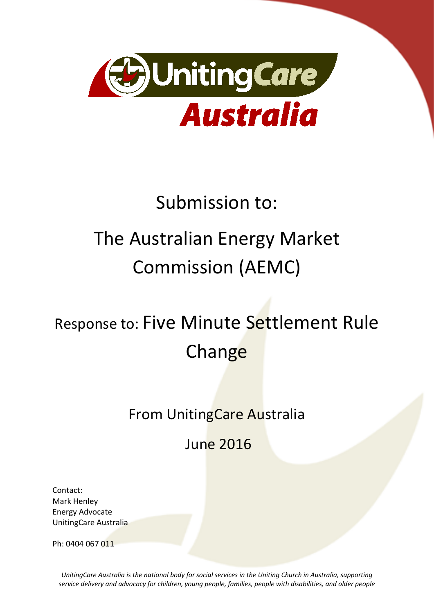

# Submission to:

# The Australian Energy Market Commission (AEMC)

# Response to: Five Minute Settlement Rule **Change**

# From UnitingCare Australia

June 2016

Contact: Mark Henley Energy Advocate UnitingCare Australia

Ph: 0404 067 011

*UnitingCare Australia is the national body for social services in the Uniting Church in Australia, supporting service delivery and advocacy for children, young people, families, people with disabilities, and older people*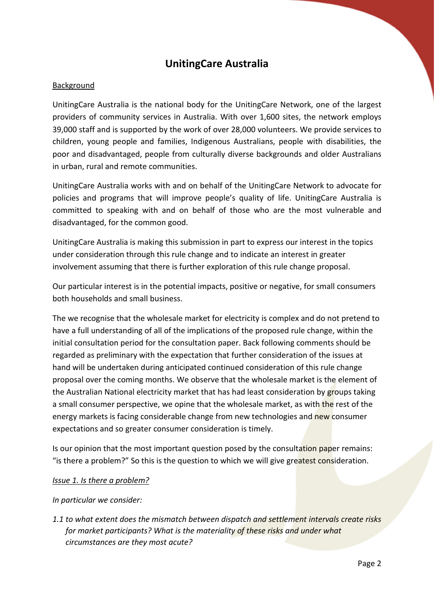# **UnitingCare Australia**

# Background

UnitingCare Australia is the national body for the UnitingCare Network, one of the largest providers of community services in Australia. With over 1,600 sites, the network employs 39,000 staff and is supported by the work of over 28,000 volunteers. We provide services to children, young people and families, Indigenous Australians, people with disabilities, the poor and disadvantaged, people from culturally diverse backgrounds and older Australians in urban, rural and remote communities.

UnitingCare Australia works with and on behalf of the UnitingCare Network to advocate for policies and programs that will improve people's quality of life. UnitingCare Australia is committed to speaking with and on behalf of those who are the most vulnerable and disadvantaged, for the common good.

UnitingCare Australia is making this submission in part to express our interest in the topics under consideration through this rule change and to indicate an interest in greater involvement assuming that there is further exploration of this rule change proposal.

Our particular interest is in the potential impacts, positive or negative, for small consumers both households and small business.

The we recognise that the wholesale market for electricity is complex and do not pretend to have a full understanding of all of the implications of the proposed rule change, within the initial consultation period for the consultation paper. Back following comments should be regarded as preliminary with the expectation that further consideration of the issues at hand will be undertaken during anticipated continued consideration of this rule change proposal over the coming months. We observe that the wholesale market is the element of the Australian National electricity market that has had least consideration by groups taking a small consumer perspective, we opine that the wholesale market, as with the rest of the energy markets is facing considerable change from new technologies and new consumer expectations and so greater consumer consideration is timely.

Is our opinion that the most important question posed by the consultation paper remains: "is there a problem?" So this is the question to which we will give greatest consideration.

# *Issue 1. Is there a problem?*

# *In particular we consider:*

*1.1 to what extent does the mismatch between dispatch and settlement intervals create risks for market participants? What is the materiality of these risks and under what circumstances are they most acute?*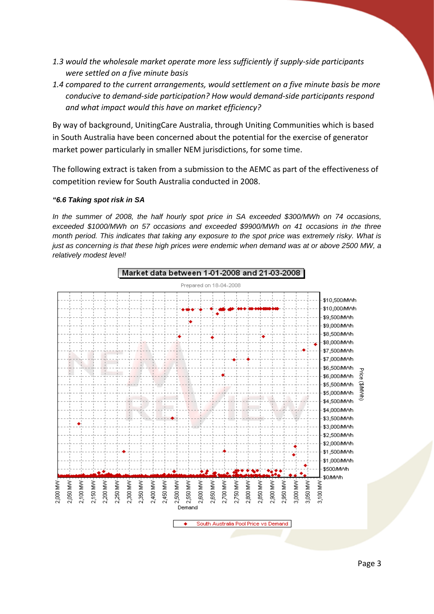- *1.3 would the wholesale market operate more less sufficiently if supply-side participants were settled on a five minute basis*
- *1.4 compared to the current arrangements, would settlement on a five minute basis be more conducive to demand-side participation? How would demand-side participants respond and what impact would this have on market efficiency?*

By way of background, UnitingCare Australia, through Uniting Communities which is based in South Australia have been concerned about the potential for the exercise of generator market power particularly in smaller NEM jurisdictions, for some time.

The following extract is taken from a submission to the AEMC as part of the effectiveness of competition review for South Australia conducted in 2008.

### *"6.6 Taking spot risk in SA*

*In the summer of 2008, the half hourly spot price in SA exceeded \$300/MWh on 74 occasions, exceeded \$1000/MWh on 57 occasions and exceeded \$9900/MWh on 41 occasions in the three month period. This indicates that taking any exposure to the spot price was extremely risky. What is just as concerning is that these high prices were endemic when demand was at or above 2500 MW, a relatively modest level!* 

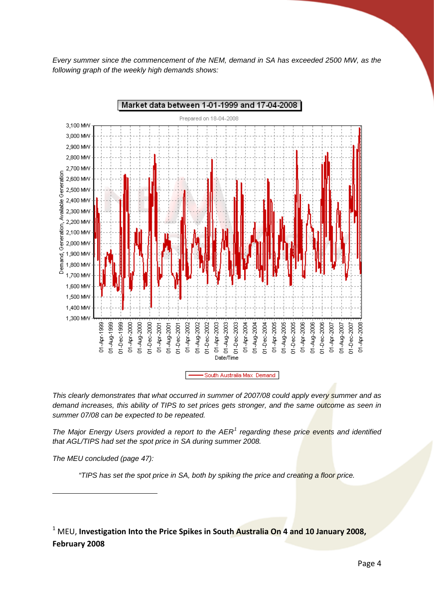*Every summer since the commencement of the NEM, demand in SA has exceeded 2500 MW, as the following graph of the weekly high demands shows:*





*This clearly demonstrates that what occurred in summer of 2007/08 could apply every summer and as demand increases, this ability of TIPS to set prices gets stronger, and the same outcome as seen in summer 07/08 can be expected to be repeated.*

*The Major Energy Users provided a report to the AER[1](#page-3-0) regarding these price events and identified that AGL/TIPS had set the spot price in SA during summer 2008.* 

*The MEU concluded (page 47):* 

<u>.</u>

*"TIPS has set the spot price in SA, both by spiking the price and creating a floor price.* 

<span id="page-3-0"></span><sup>1</sup> MEU, Investigation Into the Price Spikes in South Australia On 4 and 10 January 2008, **February 2008**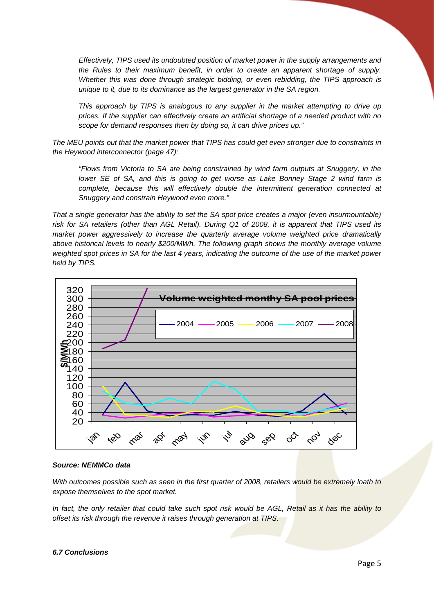*Effectively, TIPS used its undoubted position of market power in the supply arrangements and the Rules to their maximum benefit, in order to create an apparent shortage of supply. Whether this was done through strategic bidding, or even rebidding, the TIPS approach is unique to it, due to its dominance as the largest generator in the SA region.* 

*This approach by TIPS is analogous to any supplier in the market attempting to drive up prices. If the supplier can effectively create an artificial shortage of a needed product with no scope for demand responses then by doing so, it can drive prices up."*

*The MEU points out that the market power that TIPS has could get even stronger due to constraints in the Heywood interconnector (page 47):* 

*"Flows from Victoria to SA are being constrained by wind farm outputs at Snuggery, in the lower SE of SA, and this is going to get worse as Lake Bonney Stage 2 wind farm is complete, because this will effectively double the intermittent generation connected at Snuggery and constrain Heywood even more."* 

*That a single generator has the ability to set the SA spot price creates a major (even insurmountable) risk for SA retailers (other than AGL Retail). During Q1 of 2008, it is apparent that TIPS used its market power aggressively to increase the quarterly average volume weighted price dramatically above historical levels to nearly \$200/MWh. The following graph shows the monthly average volume weighted spot prices in SA for the last 4 years, indicating the outcome of the use of the market power held by TIPS.*



#### *Source: NEMMCo data*

*With outcomes possible such as seen in the first quarter of 2008, retailers would be extremely loath to expose themselves to the spot market.* 

*In fact, the only retailer that could take such spot risk would be AGL, Retail as it has the ability to offset its risk through the revenue it raises through generation at TIPS.* 

#### *6.7 Conclusions*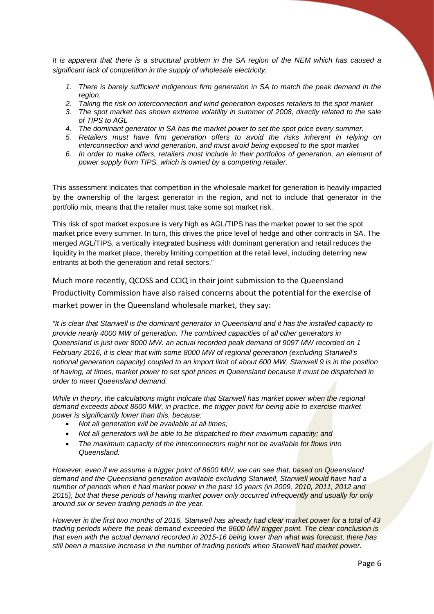*It is apparent that there is a structural problem in the SA region of the NEM which has caused a significant lack of competition in the supply of wholesale electricity.*

- *1. There is barely sufficient indigenous firm generation in SA to match the peak demand in the region.*
- *2. Taking the risk on interconnection and wind generation exposes retailers to the spot market*
- *3. The spot market has shown extreme volatility in summer of 2008, directly related to the sale of TIPS to AGL*
- *4. The dominant generator in SA has the market power to set the spot price every summer.*
- *5. Retailers must have firm generation offers to avoid the risks inherent in relying on interconnection and wind generation, and must avoid being exposed to the spot market*
- *6. In order to make offers, retailers must include in their portfolios of generation, an element of power supply from TIPS, which is owned by a competing retailer.*

This assessment indicates that competition in the wholesale market for generation is heavily impacted by the ownership of the largest generator in the region, and not to include that generator in the portfolio mix, means that the retailer must take some sot market risk.

This risk of spot market exposure is very high as AGL/TIPS has the market power to set the spot market price every summer. In turn, this drives the price level of hedge and other contracts in SA. The merged AGL/TIPS, a vertically integrated business with dominant generation and retail reduces the liquidity in the market place, thereby limiting competition at the retail level, including deterring new entrants at both the generation and retail sectors."

Much more recently, QCOSS and CCIQ in their joint submission to the Queensland Productivity Commission have also raised concerns about the potential for the exercise of market power in the Queensland wholesale market, they say:

*"It is clear that Stanwell is the dominant generator in Queensland and it has the installed capacity to provide nearly 4000 MW of generation. The combined capacities of all other generators in Queensland is just over 8000 MW. an actual recorded peak demand of 9097 MW recorded on 1 February 2016, it is clear that with some 8000 MW of regional generation (excluding Stanwell's notional generation capacity) coupled to an import limit of about 600 MW, Stanwell 9 is in the position of having, at times, market power to set spot prices in Queensland because it must be dispatched in order to meet Queensland demand.* 

*While in theory, the calculations might indicate that Stanwell has market power when the regional demand exceeds about 8600 MW, in practice, the trigger point for being able to exercise market power is significantly lower than this, because:* 

- *Not all generation will be available at all times;*
- *Not all generators will be able to be dispatched to their maximum capacity; and*
- *The maximum capacity of the interconnectors might not be available for flows into Queensland.*

*However, even if we assume a trigger point of 8600 MW, we can see that, based on Queensland demand and the Queensland generation available excluding Stanwell, Stanwell would have had a number of periods when it had market power in the past 10 years (in 2009, 2010, 2011, 2012 and 2015), but that these periods of having market power only occurred infrequently and usually for only around six or seven trading periods in the year.*

*However in the first two months of 2016, Stanwell has already had clear market power for a total of 43 trading periods where the peak demand exceeded the 8600 MW trigger point. The clear conclusion is that even with the actual demand recorded in 2015-16 being lower than what was forecast, there has still been a massive increase in the number of trading periods when Stanwell had market power.*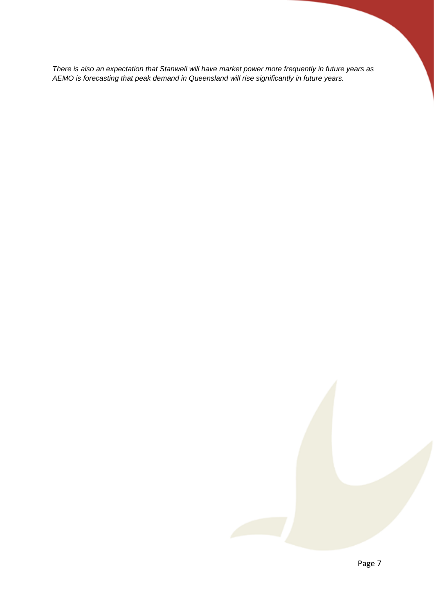*There is also an expectation that Stanwell will have market power more frequently in future years as AEMO is forecasting that peak demand in Queensland will rise significantly in future years.*

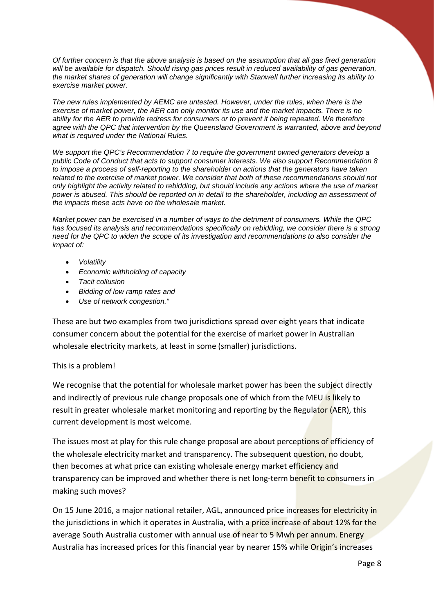*Of further concern is that the above analysis is based on the assumption that all gas fired generation will be available for dispatch. Should rising gas prices result in reduced availability of gas generation, the market shares of generation will change significantly with Stanwell further increasing its ability to exercise market power.* 

*The new rules implemented by AEMC are untested. However, under the rules, when there is the exercise of market power, the AER can only monitor its use and the market impacts. There is no ability for the AER to provide redress for consumers or to prevent it being repeated. We therefore agree with the QPC that intervention by the Queensland Government is warranted, above and beyond what is required under the National Rules.*

*We support the QPC's Recommendation 7 to require the government owned generators develop a public Code of Conduct that acts to support consumer interests. We also support Recommendation 8 to impose a process of self-reporting to the shareholder on actions that the generators have taken related to the exercise of market power. We consider that both of these recommendations should not only highlight the activity related to rebidding, but should include any actions where the use of market power is abused. This should be reported on in detail to the shareholder, including an assessment of the impacts these acts have on the wholesale market.* 

*Market power can be exercised in a number of ways to the detriment of consumers. While the QPC has focused its analysis and recommendations specifically on rebidding, we consider there is a strong need for the QPC to widen the scope of its investigation and recommendations to also consider the impact of:* 

- *Volatility*
- *Economic withholding of capacity*
- *Tacit collusion*
- *Bidding of low ramp rates and*
- *Use of network congestion."*

These are but two examples from two jurisdictions spread over eight years that indicate consumer concern about the potential for the exercise of market power in Australian wholesale electricity markets, at least in some (smaller) jurisdictions.

# This is a problem!

We recognise that the potential for wholesale market power has been the subject directly and indirectly of previous rule change proposals one of which from the MEU is likely to result in greater wholesale market monitoring and reporting by the Regulator (AER), this current development is most welcome.

The issues most at play for this rule change proposal are about perceptions of efficiency of the wholesale electricity market and transparency. The subsequent question, no doubt, then becomes at what price can existing wholesale energy market efficiency and transparency can be improved and whether there is net long-term benefit to consumers in making such moves?

On 15 June 2016, a major national retailer, AGL, announced price increases for electricity in the jurisdictions in which it operates in Australia, with a price increase of about 12% for the average South Australia customer with annual use of near to 5 Mwh per annum. Energy Australia has increased prices for this financial year by nearer 15% while Origin's increases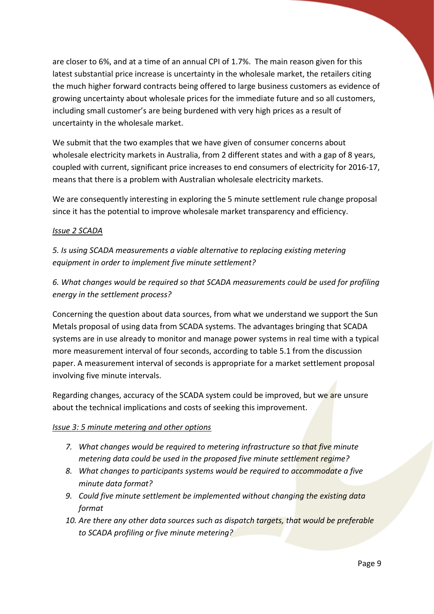are closer to 6%, and at a time of an annual CPI of 1.7%. The main reason given for this latest substantial price increase is uncertainty in the wholesale market, the retailers citing the much higher forward contracts being offered to large business customers as evidence of growing uncertainty about wholesale prices for the immediate future and so all customers, including small customer's are being burdened with very high prices as a result of uncertainty in the wholesale market.

We submit that the two examples that we have given of consumer concerns about wholesale electricity markets in Australia, from 2 different states and with a gap of 8 years, coupled with current, significant price increases to end consumers of electricity for 2016-17, means that there is a problem with Australian wholesale electricity markets.

We are consequently interesting in exploring the 5 minute settlement rule change proposal since it has the potential to improve wholesale market transparency and efficiency.

# *Issue 2 SCADA*

*5. Is using SCADA measurements a viable alternative to replacing existing metering equipment in order to implement five minute settlement?*

*6. What changes would be required so that SCADA measurements could be used for profiling energy in the settlement process?*

Concerning the question about data sources, from what we understand we support the Sun Metals proposal of using data from SCADA systems. The advantages bringing that SCADA systems are in use already to monitor and manage power systems in real time with a typical more measurement interval of four seconds, according to table 5.1 from the discussion paper. A measurement interval of seconds is appropriate for a market settlement proposal involving five minute intervals.

Regarding changes, accuracy of the SCADA system could be improved, but we are unsure about the technical implications and costs of seeking this improvement.

# *Issue 3: 5 minute metering and other options*

- *7. What changes would be required to metering infrastructure so that five minute metering data could be used in the proposed five minute settlement regime?*
- *8. What changes to participants systems would be required to accommodate a five minute data format?*
- *9. Could five minute settlement be implemented without changing the existing data format*
- *10. Are there any other data sources such as dispatch targets, that would be preferable to SCADA profiling or five minute metering?*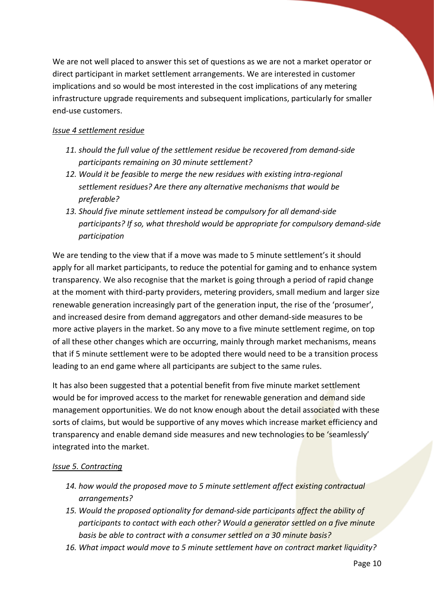We are not well placed to answer this set of questions as we are not a market operator or direct participant in market settlement arrangements. We are interested in customer implications and so would be most interested in the cost implications of any metering infrastructure upgrade requirements and subsequent implications, particularly for smaller end-use customers.

# *Issue 4 settlement residue*

- *11. should the full value of the settlement residue be recovered from demand-side participants remaining on 30 minute settlement?*
- *12. Would it be feasible to merge the new residues with existing intra-regional settlement residues? Are there any alternative mechanisms that would be preferable?*
- *13. Should five minute settlement instead be compulsory for all demand-side participants? If so, what threshold would be appropriate for compulsory demand-side participation*

We are tending to the view that if a move was made to 5 minute settlement's it should apply for all market participants, to reduce the potential for gaming and to enhance system transparency. We also recognise that the market is going through a period of rapid change at the moment with third-party providers, metering providers, small medium and larger size renewable generation increasingly part of the generation input, the rise of the 'prosumer', and increased desire from demand aggregators and other demand-side measures to be more active players in the market. So any move to a five minute settlement regime, on top of all these other changes which are occurring, mainly through market mechanisms, means that if 5 minute settlement were to be adopted there would need to be a transition process leading to an end game where all participants are subject to the same rules.

It has also been suggested that a potential benefit from five minute market settlement would be for improved access to the market for renewable generation and demand side management opportunities. We do not know enough about the detail associated with these sorts of claims, but would be supportive of any moves which increase market efficiency and transparency and enable demand side measures and new technologies to be 'seamlessly' integrated into the market.

# *Issue 5. Contracting*

- *14. how would the proposed move to 5 minute settlement affect existing contractual arrangements?*
- *15. Would the proposed optionality for demand-side participants affect the ability of participants to contact with each other? Would a generator settled on a five minute basis be able to contract with a consumer settled on a 30 minute basis?*
- *16. What impact would move to 5 minute settlement have on contract market liquidity?*